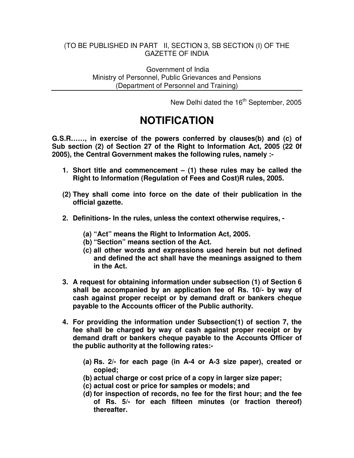### (TO BE PUBLISHED IN PART II, SECTION 3, SB SECTION (I) OF THE GAZETTE OF INDIA

Government of India Ministry of Personnel, Public Grievances and Pensions (Department of Personnel and Training)

New Delhi dated the 16<sup>th</sup> September, 2005

# **NOTIFICATION**

**G.S.R……, in exercise of the powers conferred by clauses(b) and (c) of Sub section (2) of Section 27 of the Right to Information Act, 2005 (22 0f 2005), the Central Government makes the following rules, namely :-**

- **1. Short title and commencement – (1) these rules may be called the Right to Information (Regulation of Fees and Cost)R rules, 2005.**
- **(2) They shall come into force on the date of their publication in the official gazette.**
- **2. Definitions- In the rules, unless the context otherwise requires, -**
	- **(a) "Act" means the Right to Information Act, 2005.**
	- **(b) "Section" means section of the Act.**
	- **(c) all other words and expressions used herein but not defined and defined the act shall have the meanings assigned to them in the Act.**
- **3. A request for obtaining information under subsection (1) of Section 6 shall be accompanied by an application fee of Rs. 10/- by way of cash against proper receipt or by demand draft or bankers cheque payable to the Accounts officer of the Public authority.**
- **4. For providing the information under Subsection(1) of section 7, the fee shall be charged by way of cash against proper receipt or by demand draft or bankers cheque payable to the Accounts Officer of the public authority at the following rates:-**
	- **(a) Rs. 2/- for each page (in A-4 or A-3 size paper), created or copied;**
	- **(b) actual charge or cost price of a copy in larger size paper;**
	- **(c) actual cost or price for samples or models; and**
	- **(d) for inspection of records, no fee for the first hour; and the fee of Rs. 5/- for each fifteen minutes (or fraction thereof) thereafter.**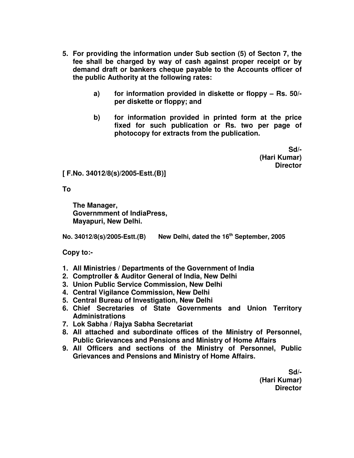- **5. For providing the information under Sub section (5) of Secton 7, the fee shall be charged by way of cash against proper receipt or by demand draft or bankers cheque payable to the Accounts officer of the public Authority at the following rates:**
	- **a) for information provided in diskette or floppy – Rs. 50/ per diskette or floppy; and**
	- **b) for information provided in printed form at the price fixed for such publication or Rs. two per page of photocopy for extracts from the publication.**

**Sd/- (Hari Kumar) Director**

**[ F.No. 34012/8(s)/2005-Estt.(B)]**

**To**

**The Manager, Governmment of IndiaPress, Mayapuri, New Delhi.**

**No. 34012/8(s)/2005-Estt.(B) New Delhi, dated the 16 th September, 2005**

**Copy to:-**

- **1. All Ministries / Departments of the Government of India**
- **2. Comptroller & Auditor General of India, New Delhi**
- **3. Union Public Service Commission, New Delhi**
- **4. Central Vigilance Commission, New Delhi**
- **5. Central Bureau of Investigation, New Delhi**
- **6. Chief Secretaries of State Governments and Union Territory Administrations**
- **7. Lok Sabha / Rajya Sabha Secretariat**
- **8. All attached and subordinate offices of the Ministry of Personnel, Public Grievances and Pensions and Ministry of Home Affairs**
- **9. All Officers and sections of the Ministry of Personnel, Public Grievances and Pensions and Ministry of Home Affairs.**

**Sd/- (Hari Kumar) Director**